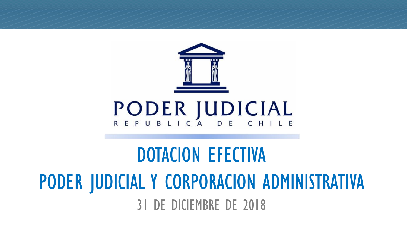# PODER JUDICIAL Y CORPORACION ADMINISTRATIVA 31 DE DICIEMBRE DE 2018

DOTACION EFECTIVA

# **PODER JUDICIAL**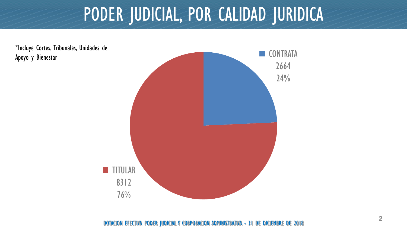#### PODER JUDICIAL, POR CALIDAD JURIDICA

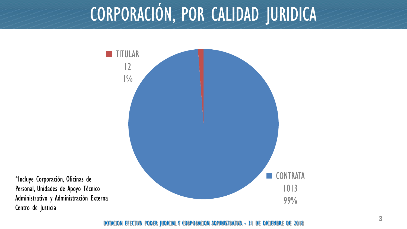## CORPORACIÓN, POR CALIDAD JURIDICA



\*Incluye Corporación, Oficinas de Personal, Unidades de Apoyo Técnico Administrativo y Administración Externa Centro de Justicia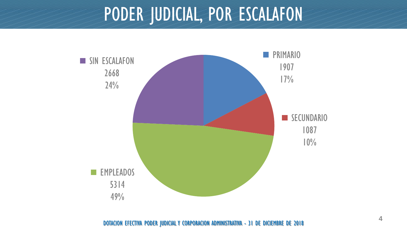#### PODER JUDICIAL, POR ESCALAFON

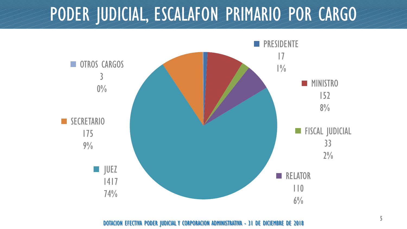#### PODER JUDICIAL, ESCALAFON PRIMARIO POR CARGO

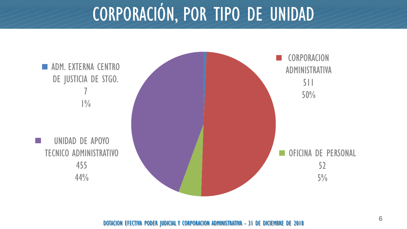## CORPORACIÓN, POR TIPO DE UNIDAD

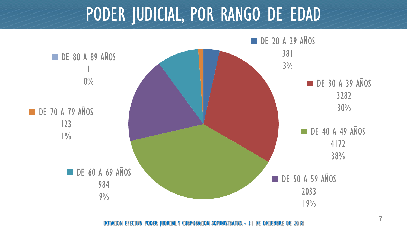#### PODER JUDICIAL, POR RANGO DE EDAD

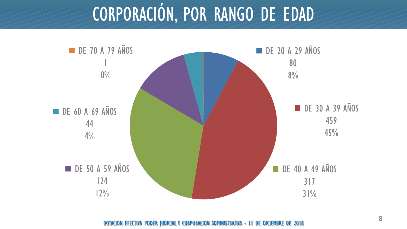## CORPORACIÓN, POR RANGO DE EDAD

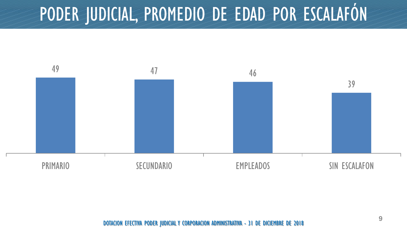## PODER JUDICIAL, PROMEDIO DE EDAD POR ESCALAFÓN

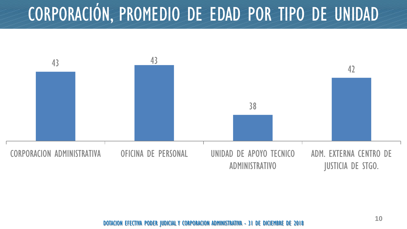## CORPORACIÓN, PROMEDIO DE EDAD POR TIPO DE UNIDAD

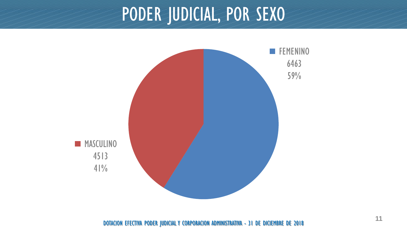#### PODER JUDICIAL, POR SEXO

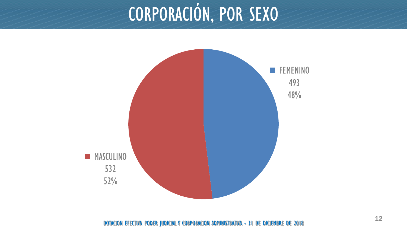# CORPORACIÓN, POR SEXO

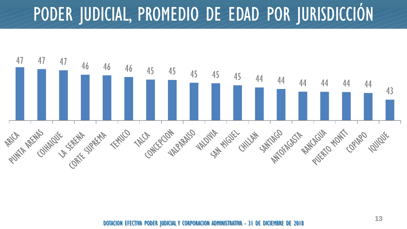## PODER JUDICIAL, PROMEDIO DE EDAD POR JURISDICCIÓN

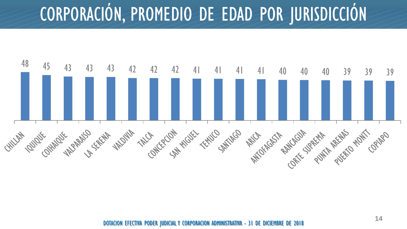## CORPORACIÓN, PROMEDIO DE EDAD POR JURISDICCIÓN

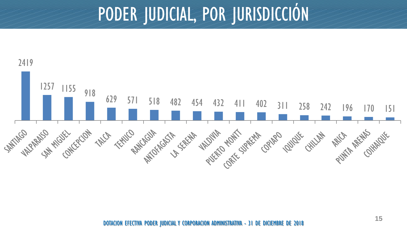### PODER JUDICIAL, POR JURISDICCIÓN

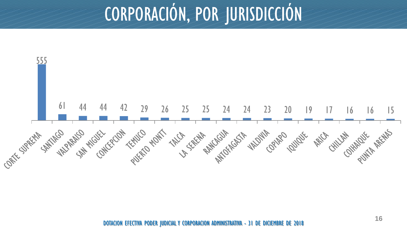## CORPORACIÓN, POR JURISDICCIÓN

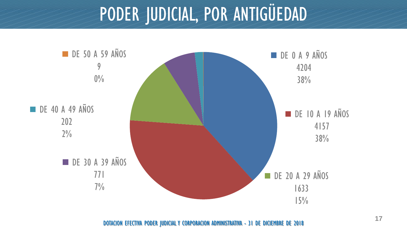## PODER JUDICIAL, POR ANTIGÜEDAD

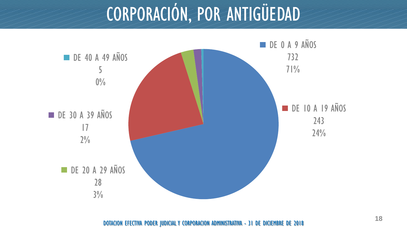## CORPORACIÓN, POR ANTIGÜEDAD

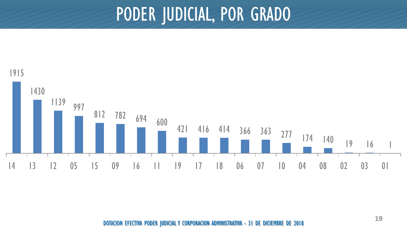#### PODER JUDICIAL, POR GRADO